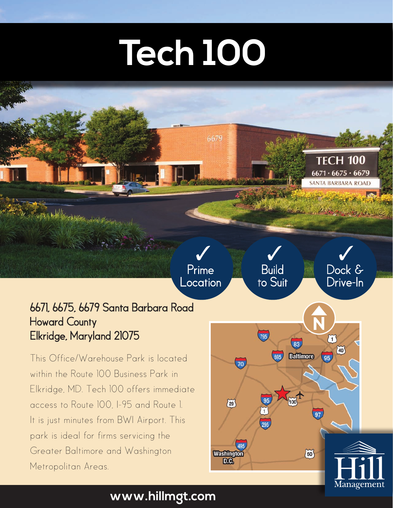## **Tech 100**

6679

Prime Location

## 6671, 6675, 6679 Santa Barbara Road Howard County Elkridge, Maryland 21075

This Office/Warehouse Park is located within the Route 100 Business Park in Elkridge, MD. Tech 100 offers immediate access to Route 100, I-95 and Route 1. It is just minutes from BWI Airport. This park is ideal for firms servicing the Greater Baltimore and Washington Metropolitan Areas.

## Dock & Build to Suit Drive-In **N**795  $\widetilde{1}$ 83  $\widetilde{40}$ **Baltimore**  $\overline{95}$

97

 $(50)$ 

 $\overline{100}$ 

**TECH 100**  $6671 \cdot 6675 \cdot 6679$ **SANTA BARBARA ROAD** 

The Philip State of the South of the South of

3 3 3

 $70<sub>l</sub>$ 

 $\widetilde{29}$ 

Washington<br>D.C.

Management

## **www.hillmgt.com**